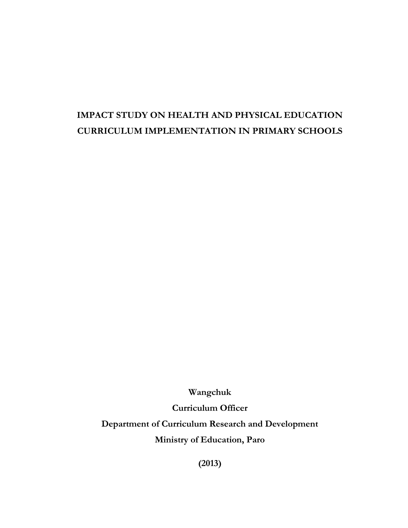# **IMPACT STUDY ON HEALTH AND PHYSICAL EDUCATION CURRICULUM IMPLEMENTATION IN PRIMARY SCHOOLS**

**Wangchuk** 

**Curriculum Officer** 

**Department of Curriculum Research and Development** 

**Ministry of Education, Paro**

**(2013)**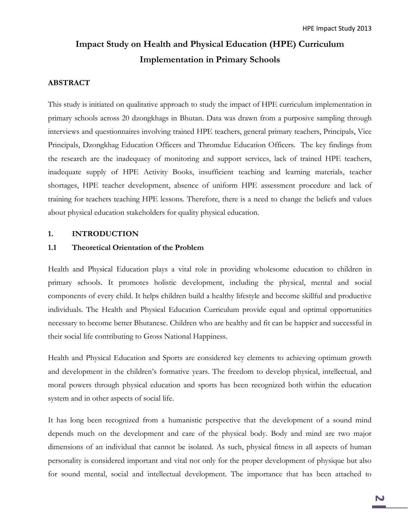# **Impact Study on Health and Physical Education (HPE) Curriculum Implementation in Primary Schools**

#### **ABSTRACT**

This study is initiated on qualitative approach to study the impact of HPE curriculum implementation in primary schools across 20 dzongkhags in Bhutan. Data was drawn from a purposive sampling through interviews and questionnaires involving trained HPE teachers, general primary teachers, Principals, Vice Principals, Dzongkhag Education Officers and Thromdue Education Officers. The key findings from the research are the inadequacy of monitoring and support services, lack of trained HPE teachers, inadequate supply of HPE Activity Books, insufficient teaching and learning materials, teacher shortages, HPE teacher development, absence of uniform HPE assessment procedure and lack of training for teachers teaching HPE lessons. Therefore, there is a need to change the beliefs and values about physical education stakeholders for quality physical education.

#### **1. INTRODUCTION**

#### **1.1 Theoretical Orientation of the Problem**

Health and Physical Education plays a vital role in providing wholesome education to children in primary schools. It promotes holistic development, including the physical, mental and social components of every child. It helps children build a healthy lifestyle and become skillful and productive individuals. The Health and Physical Education Curriculum provide equal and optimal opportunities necessary to become better Bhutanese. Children who are healthy and fit can be happier and successful in their social life contributing to Gross National Happiness.

Health and Physical Education and Sports are considered key elements to achieving optimum growth and development in the children's formative years. The freedom to develop physical, intellectual, and moral powers through physical education and sports has been recognized both within the education system and in other aspects of social life.

It has long been recognized from a humanistic perspective that the development of a sound mind depends much on the development and care of the physical body. Body and mind are two major dimensions of an individual that cannot be isolated. As such, physical fitness in all aspects of human personality is considered important and vital not only for the proper development of physique but also for sound mental, social and intellectual development. The importance that has been attached to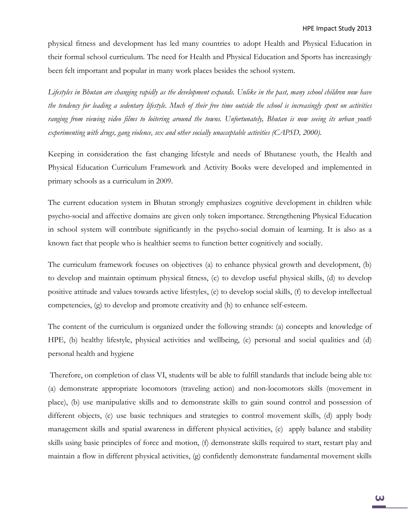physical fitness and development has led many countries to adopt Health and Physical Education in their formal school curriculum. The need for Health and Physical Education and Sports has increasingly been felt important and popular in many work places besides the school system.

*Lifestyles in Bhutan are changing rapidly as the development expands. Unlike in the past, many school children now have the tendency for leading a sedentary lifestyle. Much of their free time outside the school is increasingly spent on activities ranging from viewing video films to loitering around the towns. Unfortunately, Bhutan is now seeing its urban youth experimenting with drugs, gang violence, sex and other socially unacceptable activities (CAPSD, 2000).* 

Keeping in consideration the fast changing lifestyle and needs of Bhutanese youth, the Health and Physical Education Curriculum Framework and Activity Books were developed and implemented in primary schools as a curriculum in 2009.

The current education system in Bhutan strongly emphasizes cognitive development in children while psycho-social and affective domains are given only token importance. Strengthening Physical Education in school system will contribute significantly in the psycho-social domain of learning. It is also as a known fact that people who is healthier seems to function better cognitively and socially.

The curriculum framework focuses on objectives (a) to enhance physical growth and development, (b) to develop and maintain optimum physical fitness, (c) to develop useful physical skills, (d) to develop positive attitude and values towards active lifestyles, (e) to develop social skills, (f) to develop intellectual competencies, (g) to develop and promote creativity and (h) to enhance self-esteem.

The content of the curriculum is organized under the following strands: (a) concepts and knowledge of HPE, (b) healthy lifestyle, physical activities and wellbeing, (c) personal and social qualities and (d) personal health and hygiene

Therefore, on completion of class VI, students will be able to fulfill standards that include being able to: (a) demonstrate appropriate locomotors (traveling action) and non-locomotors skills (movement in place), (b) use manipulative skills and to demonstrate skills to gain sound control and possession of different objects, (c) use basic techniques and strategies to control movement skills, (d) apply body management skills and spatial awareness in different physical activities, (e) apply balance and stability skills using basic principles of force and motion, (f) demonstrate skills required to start, restart play and maintain a flow in different physical activities, (g) confidently demonstrate fundamental movement skills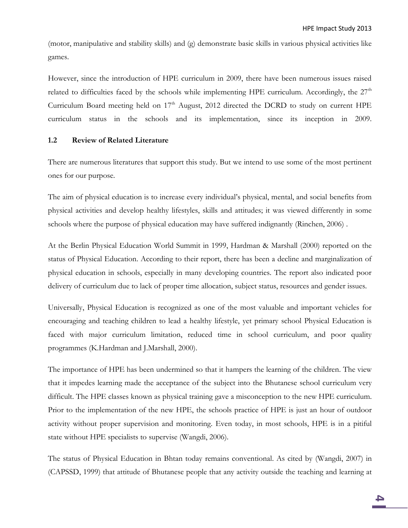(motor, manipulative and stability skills) and (g) demonstrate basic skills in various physical activities like games.

However, since the introduction of HPE curriculum in 2009, there have been numerous issues raised related to difficulties faced by the schools while implementing HPE curriculum. Accordingly, the  $27<sup>th</sup>$ Curriculum Board meeting held on  $17<sup>th</sup>$  August, 2012 directed the DCRD to study on current HPE curriculum status in the schools and its implementation, since its inception in 2009.

#### **1.2 Review of Related Literature**

There are numerous literatures that support this study. But we intend to use some of the most pertinent ones for our purpose.

The aim of physical education is to increase every individual's physical, mental, and social benefits from physical activities and develop healthy lifestyles, skills and attitudes; it was viewed differently in some schools where the purpose of physical education may have suffered indignantly (Rinchen, 2006) .

At the Berlin Physical Education World Summit in 1999, Hardman & Marshall (2000) reported on the status of Physical Education. According to their report, there has been a decline and marginalization of physical education in schools, especially in many developing countries. The report also indicated poor delivery of curriculum due to lack of proper time allocation, subject status, resources and gender issues.

Universally, Physical Education is recognized as one of the most valuable and important vehicles for encouraging and teaching children to lead a healthy lifestyle, yet primary school Physical Education is faced with major curriculum limitation, reduced time in school curriculum, and poor quality programmes (K.Hardman and J.Marshall, 2000).

The importance of HPE has been undermined so that it hampers the learning of the children. The view that it impedes learning made the acceptance of the subject into the Bhutanese school curriculum very difficult. The HPE classes known as physical training gave a misconception to the new HPE curriculum. Prior to the implementation of the new HPE, the schools practice of HPE is just an hour of outdoor activity without proper supervision and monitoring. Even today, in most schools, HPE is in a pitiful state without HPE specialists to supervise (Wangdi, 2006).

The status of Physical Education in Bhtan today remains conventional. As cited by (Wangdi, 2007) in (CAPSSD, 1999) that attitude of Bhutanese people that any activity outside the teaching and learning at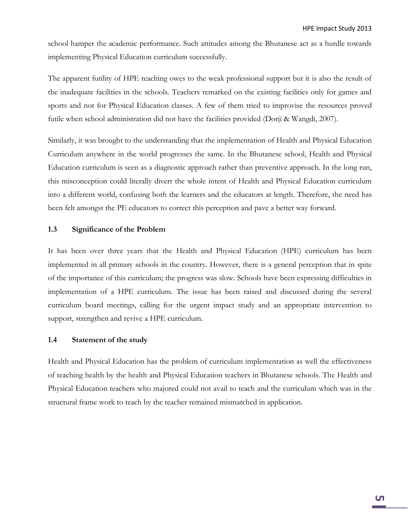school hamper the academic performance. Such attitudes among the Bhutanese act as a hurdle towards implementing Physical Education curriculum successfully.

The apparent futility of HPE teaching owes to the weak professional support but it is also the result of the inadequate facilities in the schools. Teachers remarked on the existing facilities only for games and sports and not for Physical Education classes. A few of them tried to improvise the resources proved futile when school administration did not have the facilities provided (Dorji & Wangdi, 2007).

Similarly, it was brought to the understanding that the implementation of Health and Physical Education Curriculum anywhere in the world progresses the same. In the Bhutanese school, Health and Physical Education curriculum is seen as a diagnostic approach rather than preventive approach. In the long run, this misconception could literally divert the whole intent of Health and Physical Education curriculum into a different world, confusing both the learners and the educators at length. Therefore, the need has been felt amongst the PE educators to correct this perception and pave a better way forward.

#### **1.3 Significance of the Problem**

It has been over three years that the Health and Physical Education (HPE) curriculum has been implemented in all primary schools in the country. However, there is a general perception that in spite of the importance of this curriculum; the progress was slow. Schools have been expressing difficulties in implementation of a HPE curriculum. The issue has been raised and discussed during the several curriculum board meetings, calling for the urgent impact study and an appropriate intervention to support, strengthen and revive a HPE curriculum.

#### **1.4 Statement of the study**

Health and Physical Education has the problem of curriculum implementation as well the effectiveness of teaching health by the health and Physical Education teachers in Bhutanese schools. The Health and Physical Education teachers who majored could not avail to teach and the curriculum which was in the structural frame work to teach by the teacher remained mismatched in application.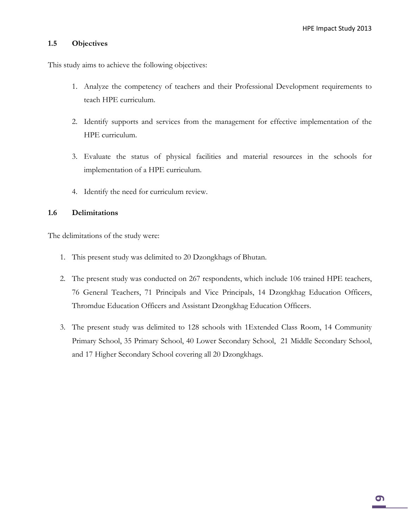#### **1.5 Objectives**

This study aims to achieve the following objectives:

- 1. Analyze the competency of teachers and their Professional Development requirements to teach HPE curriculum.
- 2. Identify supports and services from the management for effective implementation of the HPE curriculum.
- 3. Evaluate the status of physical facilities and material resources in the schools for implementation of a HPE curriculum.
- 4. Identify the need for curriculum review.

#### **1.6 Delimitations**

The delimitations of the study were:

- 1. This present study was delimited to 20 Dzongkhags of Bhutan.
- 2. The present study was conducted on 267 respondents, which include 106 trained HPE teachers, 76 General Teachers, 71 Principals and Vice Principals, 14 Dzongkhag Education Officers, Thromdue Education Officers and Assistant Dzongkhag Education Officers.
- 3. The present study was delimited to 128 schools with 1Extended Class Room, 14 Community Primary School, 35 Primary School, 40 Lower Secondary School, 21 Middle Secondary School, and 17 Higher Secondary School covering all 20 Dzongkhags.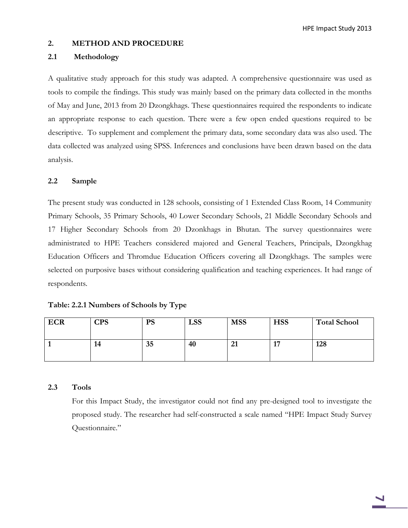HPE Impact Study 2013

#### **2. METHOD AND PROCEDURE**

#### **2.1 Methodology**

A qualitative study approach for this study was adapted. A comprehensive questionnaire was used as tools to compile the findings. This study was mainly based on the primary data collected in the months of May and June, 2013 from 20 Dzongkhags. These questionnaires required the respondents to indicate an appropriate response to each question. There were a few open ended questions required to be descriptive. To supplement and complement the primary data, some secondary data was also used. The data collected was analyzed using SPSS. Inferences and conclusions have been drawn based on the data analysis.

#### **2.2 Sample**

The present study was conducted in 128 schools, consisting of 1 Extended Class Room, 14 Community Primary Schools, 35 Primary Schools, 40 Lower Secondary Schools, 21 Middle Secondary Schools and 17 Higher Secondary Schools from 20 Dzonkhags in Bhutan. The survey questionnaires were administrated to HPE Teachers considered majored and General Teachers, Principals, Dzongkhag Education Officers and Thromdue Education Officers covering all Dzongkhags. The samples were selected on purposive bases without considering qualification and teaching experiences. It had range of respondents.

| Table: 2.2.1 Numbers of Schools by Type |  |  |
|-----------------------------------------|--|--|
|-----------------------------------------|--|--|

| <b>ECR</b> | <b>CPS</b> | <b>PS</b> | <b>LSS</b> | <b>MSS</b>         | <b>HSS</b>                   | <b>Total School</b> |
|------------|------------|-----------|------------|--------------------|------------------------------|---------------------|
|            | 14         | 35        | 40         | $\mathbf{C}$<br>41 | $\overline{A}$<br><b>. .</b> | 128                 |

#### **2.3 Tools**

For this Impact Study, the investigator could not find any pre-designed tool to investigate the proposed study. The researcher had self-constructed a scale named "HPE Impact Study Survey Questionnaire."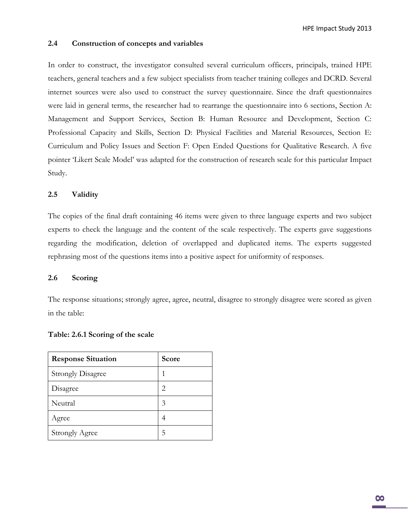#### **2.4 Construction of concepts and variables**

In order to construct, the investigator consulted several curriculum officers, principals, trained HPE teachers, general teachers and a few subject specialists from teacher training colleges and DCRD. Several internet sources were also used to construct the survey questionnaire. Since the draft questionnaires were laid in general terms, the researcher had to rearrange the questionnaire into 6 sections, Section A: Management and Support Services, Section B: Human Resource and Development, Section C: Professional Capacity and Skills, Section D: Physical Facilities and Material Resources, Section E: Curriculum and Policy Issues and Section F: Open Ended Questions for Qualitative Research. A five pointer 'Likert Scale Model' was adapted for the construction of research scale for this particular Impact Study.

#### **2.5 Validity**

The copies of the final draft containing 46 items were given to three language experts and two subject experts to check the language and the content of the scale respectively. The experts gave suggestions regarding the modification, deletion of overlapped and duplicated items. The experts suggested rephrasing most of the questions items into a positive aspect for uniformity of responses.

#### **2.6 Scoring**

The response situations; strongly agree, agree, neutral, disagree to strongly disagree were scored as given in the table:

#### **Table: 2.6.1 Scoring of the scale**

| <b>Response Situation</b> | Score |
|---------------------------|-------|
| <b>Strongly Disagree</b>  |       |
| Disagree                  | 2     |
| Neutral                   | 3     |
| Agree                     | 4     |
| <b>Strongly Agree</b>     | 5     |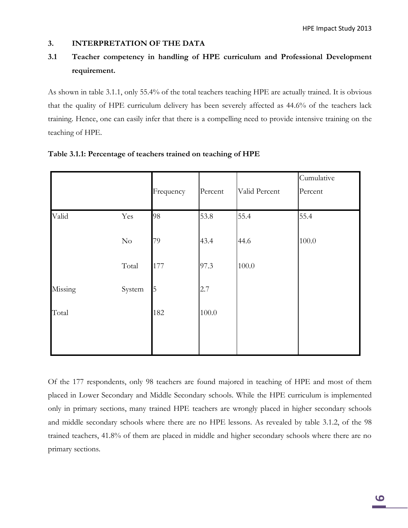#### **3. INTERPRETATION OF THE DATA**

## **3.1 Teacher competency in handling of HPE curriculum and Professional Development requirement.**

As shown in table 3.1.1, only 55.4% of the total teachers teaching HPE are actually trained. It is obvious that the quality of HPE curriculum delivery has been severely affected as 44.6% of the teachers lack training. Hence, one can easily infer that there is a compelling need to provide intensive training on the teaching of HPE.

|         |          | Frequency | Percent | Valid Percent | Cumulative<br>Percent |
|---------|----------|-----------|---------|---------------|-----------------------|
| Valid   | Yes      | 98        | 53.8    | 55.4          | 55.4                  |
|         | $\rm No$ | 79        | 43.4    | 44.6          | 100.0                 |
|         | Total    | 177       | 97.3    | 100.0         |                       |
| Missing | System   | 5         | 2.7     |               |                       |
| Total   |          | 182       | 100.0   |               |                       |
|         |          |           |         |               |                       |

#### **Table 3.1.1: Percentage of teachers trained on teaching of HPE**

Of the 177 respondents, only 98 teachers are found majored in teaching of HPE and most of them placed in Lower Secondary and Middle Secondary schools. While the HPE curriculum is implemented only in primary sections, many trained HPE teachers are wrongly placed in higher secondary schools and middle secondary schools where there are no HPE lessons. As revealed by table 3.1.2, of the 98 trained teachers, 41.8% of them are placed in middle and higher secondary schools where there are no primary sections.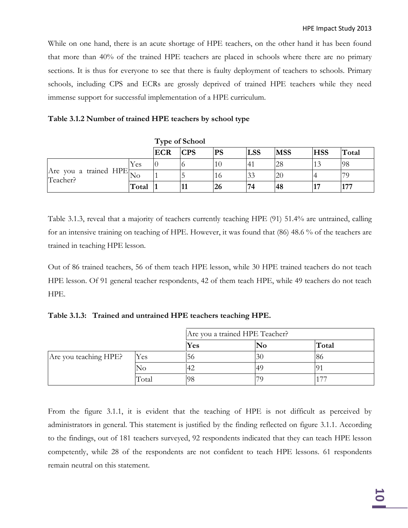While on one hand, there is an acute shortage of HPE teachers, on the other hand it has been found that more than 40% of the trained HPE teachers are placed in schools where there are no primary sections. It is thus for everyone to see that there is faulty deployment of teachers to schools. Primary schools, including CPS and ECRs are grossly deprived of trained HPE teachers while they need immense support for successful implementation of a HPE curriculum.

#### **Table 3.1.2 Number of trained HPE teachers by school type**

|                                        |       | <b>Type of School</b> |            |           |                |            |            |       |
|----------------------------------------|-------|-----------------------|------------|-----------|----------------|------------|------------|-------|
|                                        |       | <b>ECR</b>            | <b>CPS</b> | <b>PS</b> | <b>LSS</b>     | <b>MSS</b> | <b>HSS</b> | Total |
| Are you a trained $HPE$ No<br>Teacher? | Yes   |                       |            | 10        | 4 <sup>1</sup> | 28         | $\sim$     | 98    |
|                                        |       |                       |            | 10        | 33             |            |            |       |
|                                        | Total |                       |            | 26        | 74             | 48         |            | 177   |

Table 3.1.3, reveal that a majority of teachers currently teaching HPE (91) 51.4% are untrained, calling for an intensive training on teaching of HPE. However, it was found that (86) 48.6 % of the teachers are trained in teaching HPE lesson.

Out of 86 trained teachers, 56 of them teach HPE lesson, while 30 HPE trained teachers do not teach HPE lesson. Of 91 general teacher respondents, 42 of them teach HPE, while 49 teachers do not teach HPE.

**Table 3.1.3: Trained and untrained HPE teachers teaching HPE.**

|                       |       | Are you a trained HPE Teacher? |          |                          |
|-----------------------|-------|--------------------------------|----------|--------------------------|
|                       |       | Yes                            | $\bf No$ | Total                    |
| Are you teaching HPE? | Yes   | 56                             | 30       | 86                       |
|                       | NO    |                                | 49       |                          |
|                       | Total | -98                            |          | $\overline{\phantom{a}}$ |

From the figure 3.1.1, it is evident that the teaching of HPE is not difficult as perceived by administrators in general. This statement is justified by the finding reflected on figure 3.1.1. According to the findings, out of 181 teachers surveyed, 92 respondents indicated that they can teach HPE lesson competently, while 28 of the respondents are not confident to teach HPE lessons. 61 respondents remain neutral on this statement.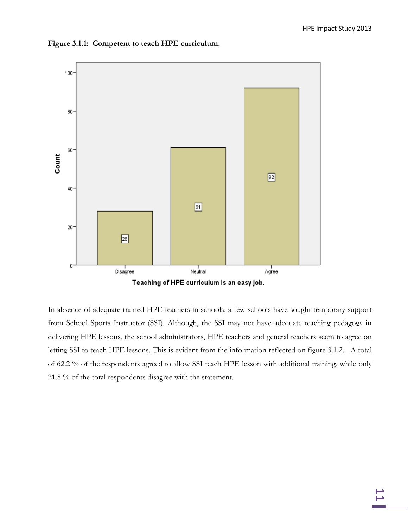

**Figure 3.1.1: Competent to teach HPE curriculum.**

In absence of adequate trained HPE teachers in schools, a few schools have sought temporary support from School Sports Instructor (SSI). Although, the SSI may not have adequate teaching pedagogy in delivering HPE lessons, the school administrators, HPE teachers and general teachers seem to agree on letting SSI to teach HPE lessons. This is evident from the information reflected on figure 3.1.2. A total of 62.2 % of the respondents agreed to allow SSI teach HPE lesson with additional training, while only 21.8 % of the total respondents disagree with the statement.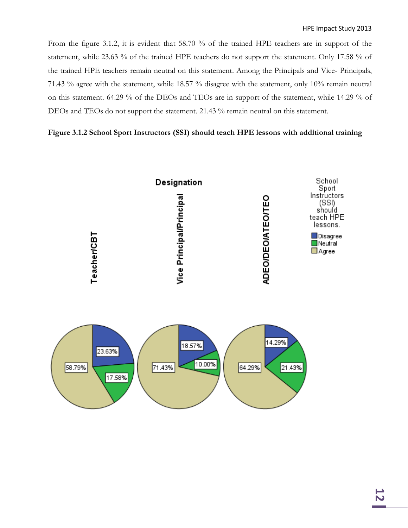From the figure 3.1.2, it is evident that 58.70 % of the trained HPE teachers are in support of the statement, while 23.63 % of the trained HPE teachers do not support the statement. Only 17.58 % of the trained HPE teachers remain neutral on this statement. Among the Principals and Vice- Principals, 71.43 % agree with the statement, while 18.57 % disagree with the statement, only 10% remain neutral on this statement. 64.29 % of the DEOs and TEOs are in support of the statement, while 14.29 % of DEOs and TEOs do not support the statement. 21.43 % remain neutral on this statement.

#### **Figure 3.1.2 School Sport Instructors (SSI) should teach HPE lessons with additional training**

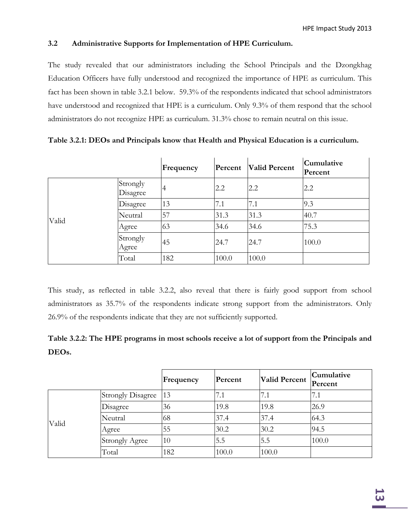### **3.2 Administrative Supports for Implementation of HPE Curriculum.**

The study revealed that our administrators including the School Principals and the Dzongkhag Education Officers have fully understood and recognized the importance of HPE as curriculum. This fact has been shown in table 3.2.1 below. 59.3% of the respondents indicated that school administrators have understood and recognized that HPE is a curriculum. Only 9.3% of them respond that the school administrators do not recognize HPE as curriculum. 31.3% chose to remain neutral on this issue.

|       |                      | Frequency | Percent | <b>Valid Percent</b> | Cumulative<br>Percent |
|-------|----------------------|-----------|---------|----------------------|-----------------------|
|       | Strongly<br>Disagree | 4         | 2.2     | 2.2                  | 2.2                   |
|       | Disagree             | 13        | 7.1     | 7.1                  | 9.3                   |
| Valid | Neutral              | 57        | 31.3    | 31.3                 | 40.7                  |
|       | Agree                | 63        | 34.6    | 34.6                 | 75.3                  |
|       | Strongly<br>Agree    | 45        | 24.7    | 24.7                 | 100.0                 |
|       | Total                | 182       | 100.0   | 100.0                |                       |

**Table 3.2.1: DEOs and Principals know that Health and Physical Education is a curriculum.**

This study, as reflected in table 3.2.2, also reveal that there is fairly good support from school administrators as 35.7% of the respondents indicate strong support from the administrators. Only 26.9% of the respondents indicate that they are not sufficiently supported.

| Table 3.2.2: The HPE programs in most schools receive a lot of support from the Principals and |  |
|------------------------------------------------------------------------------------------------|--|
| DEO <sub>s</sub> .                                                                             |  |

|       |                       | Frequency | Percent | <b>Valid Percent</b> | Cumulative<br>Percent |
|-------|-----------------------|-----------|---------|----------------------|-----------------------|
|       | Strongly Disagree  13 |           | 7.1     | 7.1                  | 7.1                   |
|       | Disagree              | 36        | 19.8    | 19.8                 | 26.9                  |
| Valid | Neutral               | 68        | 37.4    | 37.4                 | 64.3                  |
|       | Agree                 | 55        | 30.2    | 30.2                 | 94.5                  |
|       | <b>Strongly Agree</b> | 10        | 5.5     | 5.5                  | 100.0                 |
|       | Total                 | 182       | 100.0   | 100.0                |                       |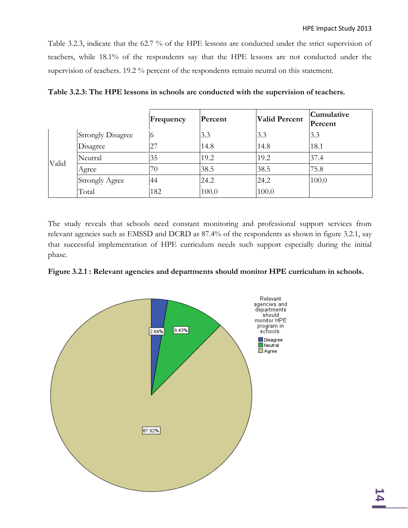Table 3.2.3, indicate that the 62.7 % of the HPE lessons are conducted under the strict supervision of teachers, while 18.1% of the respondents say that the HPE lessons are not conducted under the supervision of teachers. 19.2 % percent of the respondents remain neutral on this statement.

|       |                          | Frequency | Percent | <b>Valid Percent</b> | Cumulative<br>Percent |
|-------|--------------------------|-----------|---------|----------------------|-----------------------|
|       | <b>Strongly Disagree</b> | O         | 3.3     | 3.3                  | 3.3                   |
|       | Disagree                 | 27        | 14.8    | 14.8                 | 18.1                  |
| Valid | Neutral                  | 35        | 19.2    | 19.2                 | 37.4                  |
|       | Agree                    | 70        | 38.5    | 38.5                 | 75.8                  |
|       | <b>Strongly Agree</b>    | 44        | 24.2    | 24.2                 | 100.0                 |
|       | Total                    | 182       | 100.0   | 100.0                |                       |

**Table 3.2.3: The HPE lessons in schools are conducted with the supervision of teachers.**

The study reveals that schools need constant monitoring and professional support services from relevant agencies such as EMSSD and DCRD as 87.4% of the respondents as shown in figure 3.2.1, say that successful implementation of HPE curriculum needs such support especially during the initial phase.



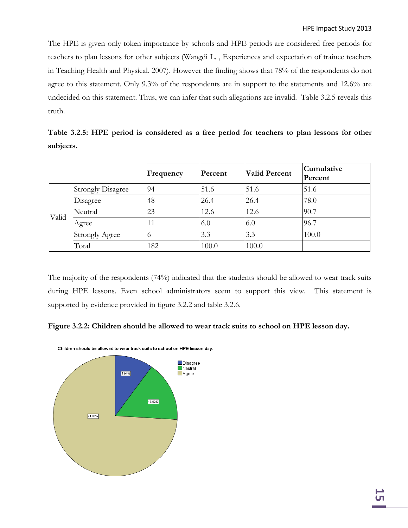The HPE is given only token importance by schools and HPE periods are considered free periods for teachers to plan lessons for other subjects (Wangdi L. , Experiences and expectation of trainee teachers in Teaching Health and Physical, 2007). However the finding shows that 78% of the respondents do not agree to this statement. Only 9.3% of the respondents are in support to the statements and 12.6% are undecided on this statement. Thus, we can infer that such allegations are invalid. Table 3.2.5 reveals this truth.

**Table 3.2.5: HPE period is considered as a free period for teachers to plan lessons for other subjects.**

|       |                          | Frequency | Percent | <b>Valid Percent</b> | Cumulative<br>Percent |
|-------|--------------------------|-----------|---------|----------------------|-----------------------|
|       | <b>Strongly Disagree</b> | 94        | 51.6    | 51.6                 | 51.6                  |
|       | Disagree                 | 48        | 26.4    | 26.4                 | 78.0                  |
| Valid | Neutral                  | 23        | 12.6    | 12.6                 | 90.7                  |
|       | Agree                    | 11        | 6.0     | 6.0                  | 96.7                  |
|       | <b>Strongly Agree</b>    |           | 3.3     | 3.3                  | 100.0                 |
|       | Total                    | 182       | 100.0   | 100.0                |                       |

The majority of the respondents (74%) indicated that the students should be allowed to wear track suits during HPE lessons. Even school administrators seem to support this view. This statement is supported by evidence provided in figure 3.2.2 and table 3.2.6.





Children should be allowed to wear track suits to school on HPE lesson day.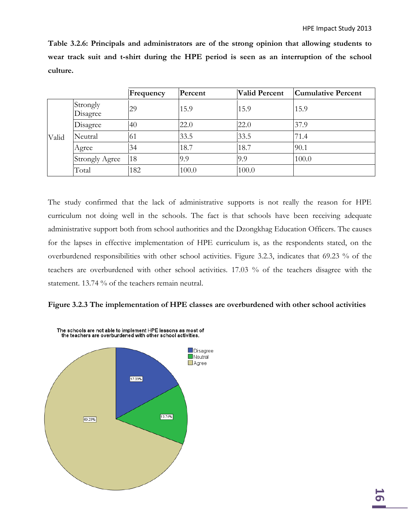**Table 3.2.6: Principals and administrators are of the strong opinion that allowing students to wear track suit and t-shirt during the HPE period is seen as an interruption of the school culture.**

|       |                       | Frequency | Percent | <b>Valid Percent</b> | <b>Cumulative Percent</b> |
|-------|-----------------------|-----------|---------|----------------------|---------------------------|
|       | Strongly<br>Disagree  | 29        | 15.9    | 15.9                 | 15.9                      |
|       | Disagree              | 40        | 22.0    | 22.0                 | 37.9                      |
| Valid | Neutral               | 61        | 33.5    | 33.5                 | 71.4                      |
|       | Agree                 | 34        | 18.7    | 18.7                 | 90.1                      |
|       | <b>Strongly Agree</b> | 18        | 9.9     | 9.9                  | 100.0                     |
|       | Total                 | 182       | 100.0   | 100.0                |                           |

The study confirmed that the lack of administrative supports is not really the reason for HPE curriculum not doing well in the schools. The fact is that schools have been receiving adequate administrative support both from school authorities and the Dzongkhag Education Officers. The causes for the lapses in effective implementation of HPE curriculum is, as the respondents stated, on the overburdened responsibilities with other school activities. Figure 3.2.3, indicates that 69.23 % of the teachers are overburdened with other school activities. 17.03 % of the teachers disagree with the statement. 13.74 % of the teachers remain neutral.



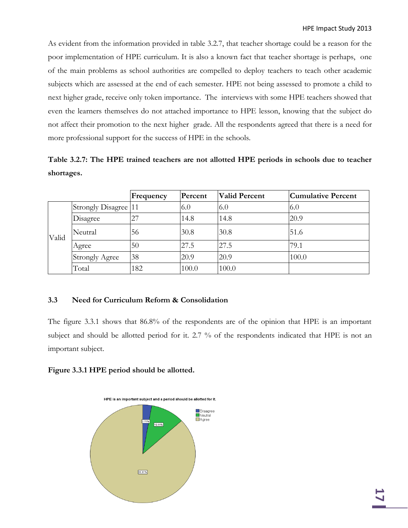As evident from the information provided in table 3.2.7, that teacher shortage could be a reason for the poor implementation of HPE curriculum. It is also a known fact that teacher shortage is perhaps, one of the main problems as school authorities are compelled to deploy teachers to teach other academic subjects which are assessed at the end of each semester. HPE not being assessed to promote a child to next higher grade, receive only token importance. The interviews with some HPE teachers showed that even the learners themselves do not attached importance to HPE lesson, knowing that the subject do not affect their promotion to the next higher grade. All the respondents agreed that there is a need for more professional support for the success of HPE in the schools.

**Table 3.2.7: The HPE trained teachers are not allotted HPE periods in schools due to teacher shortages.**

|       |                       | Frequency | Percent | <b>Valid Percent</b> | Cumulative Percent |
|-------|-----------------------|-----------|---------|----------------------|--------------------|
|       | Strongly Disagree 11  |           | 6.0     | 6.0                  | 6.0                |
|       | Disagree              | 27        | 14.8    | 14.8                 | 20.9               |
| Valid | Neutral               | 56        | 30.8    | 30.8                 | 51.6               |
|       | Agree                 | 50        | 27.5    | 27.5                 | 79.1               |
|       | <b>Strongly Agree</b> | 38        | 20.9    | 20.9                 | 100.0              |
|       | Total                 | 182       | 100.0   | 100.0                |                    |

#### **3.3 Need for Curriculum Reform & Consolidation**

The figure 3.3.1 shows that 86.8% of the respondents are of the opinion that HPE is an important subject and should be allotted period for it. 2.7 % of the respondents indicated that HPE is not an important subject.

#### **Figure 3.3.1 HPE period should be allotted.**

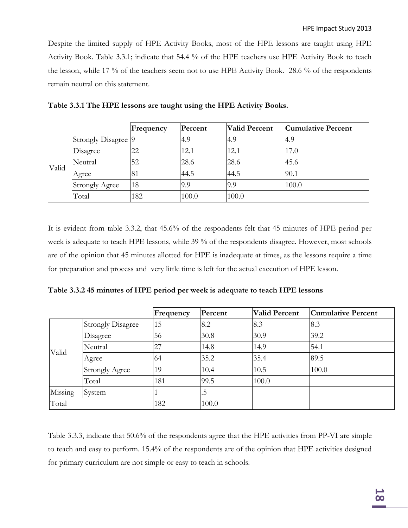Despite the limited supply of HPE Activity Books, most of the HPE lessons are taught using HPE Activity Book. Table 3.3.1; indicate that 54.4 % of the HPE teachers use HPE Activity Book to teach the lesson, while 17 % of the teachers seem not to use HPE Activity Book. 28.6 % of the respondents remain neutral on this statement.

|       |                       | Frequency | Percent | <b>Valid Percent</b> | <b>Cumulative Percent</b> |
|-------|-----------------------|-----------|---------|----------------------|---------------------------|
|       | Strongly Disagree 9   |           | 4.9     | 4.9                  | 4.9                       |
|       | Disagree              | 22        | 12.1    | 12.1                 | 17.0                      |
| Valid | Neutral               | 52        | 28.6    | 28.6                 | 45.6                      |
|       | Agree                 | 81        | 44.5    | 44.5                 | 90.1                      |
|       | <b>Strongly Agree</b> | 18        | 9.9     | 9.9                  | 100.0                     |
|       | Total                 | 182       | 100.0   | 100.0                |                           |

| Table 3.3.1 The HPE lessons are taught using the HPE Activity Books. |  |  |  |
|----------------------------------------------------------------------|--|--|--|
|                                                                      |  |  |  |

It is evident from table 3.3.2, that 45.6% of the respondents felt that 45 minutes of HPE period per week is adequate to teach HPE lessons, while 39 % of the respondents disagree. However, most schools are of the opinion that 45 minutes allotted for HPE is inadequate at times, as the lessons require a time for preparation and process and very little time is left for the actual execution of HPE lesson.

| Table 3.3.2 45 minutes of HPE period per week is adequate to teach HPE lessons |  |  |  |
|--------------------------------------------------------------------------------|--|--|--|
|--------------------------------------------------------------------------------|--|--|--|

|         |                          | Frequency | Percent | <b>Valid Percent</b> | <b>Cumulative Percent</b> |
|---------|--------------------------|-----------|---------|----------------------|---------------------------|
|         | <b>Strongly Disagree</b> | 15        | 8.2     | 8.3                  | 8.3                       |
|         | Disagree                 | 56        | 30.8    | 30.9                 | 39.2                      |
|         | Neutral                  | 27        | 14.8    | 14.9                 | 54.1                      |
| Valid   | Agree                    | 64        | 35.2    | 35.4                 | 89.5                      |
|         | <b>Strongly Agree</b>    | 19        | 10.4    | 10.5                 | 100.0                     |
|         | Total                    | 181       | 99.5    | 100.0                |                           |
| Missing | System                   |           | .5      |                      |                           |
| Total   |                          | 182       | 100.0   |                      |                           |

Table 3.3.3, indicate that 50.6% of the respondents agree that the HPE activities from PP-VI are simple to teach and easy to perform. 15.4% of the respondents are of the opinion that HPE activities designed for primary curriculum are not simple or easy to teach in schools.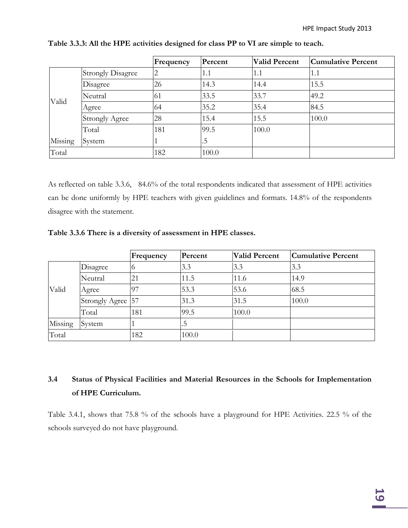|         |                          | Frequency | Percent | <b>Valid Percent</b> | <b>Cumulative Percent</b> |
|---------|--------------------------|-----------|---------|----------------------|---------------------------|
|         | <b>Strongly Disagree</b> | 2         | 1.1     | 1.1                  | 1.1                       |
|         | Disagree                 | 26        | 14.3    | 14.4                 | 15.5                      |
| Valid   | Neutral                  | 61        | 33.5    | 33.7                 | 49.2                      |
|         | Agree                    | 64        | 35.2    | 35.4                 | 84.5                      |
|         | <b>Strongly Agree</b>    | 28        | 15.4    | 15.5                 | 100.0                     |
|         | Total                    | 181       | 99.5    | 100.0                |                           |
| Missing | System                   |           | .5      |                      |                           |
| Total   |                          | 182       | 100.0   |                      |                           |

**Table 3.3.3: All the HPE activities designed for class PP to VI are simple to teach.**

As reflected on table 3.3.6, 84.6% of the total respondents indicated that assessment of HPE activities can be done uniformly by HPE teachers with given guidelines and formats. 14.8% of the respondents disagree with the statement.

**Table 3.3.6 There is a diversity of assessment in HPE classes.**

|         |                   | Frequency | Percent | <b>Valid Percent</b> | <b>Cumulative Percent</b> |
|---------|-------------------|-----------|---------|----------------------|---------------------------|
|         | Disagree          | O         | 3.3     | 3.3                  | 3.3                       |
|         | Neutral           | 21        | 11.5    | 11.6                 | 14.9                      |
| Valid   | Agree             | 97        | 53.3    | 53.6                 | 68.5                      |
|         | Strongly Agree 57 |           | 31.3    | 31.5                 | 100.0                     |
|         | Total             | 181       | 99.5    | 100.0                |                           |
| Missing | System            |           | . J     |                      |                           |
| Total   |                   | 182       | 100.0   |                      |                           |

# **3.4 Status of Physical Facilities and Material Resources in the Schools for Implementation of HPE Curriculum.**

Table 3.4.1, shows that 75.8 % of the schools have a playground for HPE Activities. 22.5 % of the schools surveyed do not have playground.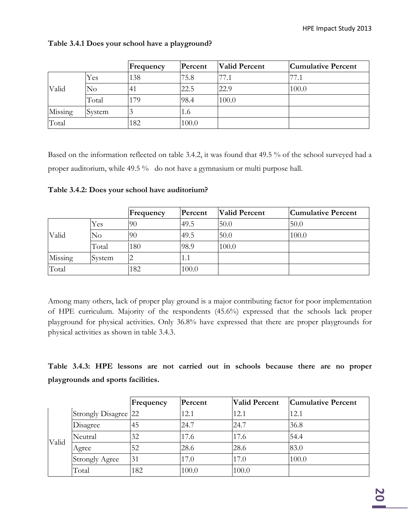|         |        | Frequency | Percent | <b>Valid Percent</b> | <b>Cumulative Percent</b> |
|---------|--------|-----------|---------|----------------------|---------------------------|
|         | Yes    | 138       | 75.8    | 77.1                 | 77.1                      |
| Valid   | No     | -41       | 22.5    | 22.9                 | 100.0                     |
|         | Total  | 179       | 98.4    | 100.0                |                           |
| Missing | System |           | 1.6     |                      |                           |
| Total   |        | 182       | 100.0   |                      |                           |

### **Table 3.4.1 Does your school have a playground?**

Based on the information reflected on table 3.4.2, it was found that 49.5 % of the school surveyed had a proper auditorium, while 49.5 % do not have a gymnasium or multi purpose hall.

|         |          | Frequency | Percent | <b>Valid Percent</b> | Cumulative Percent |
|---------|----------|-----------|---------|----------------------|--------------------|
|         | Yes      | 90        | 49.5    | 50.0                 | 50.0               |
| Valid   | $\rm No$ | 90        | 49.5    | 50.0                 | 100.0              |
|         | Total    | 180       | 98.9    | 100.0                |                    |
| Missing | System   | ∸         | 1.1     |                      |                    |
| Total   |          | 182       | 100.0   |                      |                    |

**Table 3.4.2: Does your school have auditorium?**

Among many others, lack of proper play ground is a major contributing factor for poor implementation of HPE curriculum. Majority of the respondents (45.6%) expressed that the schools lack proper playground for physical activities. Only 36.8% have expressed that there are proper playgrounds for physical activities as shown in table 3.4.3.

**Table 3.4.3: HPE lessons are not carried out in schools because there are no proper playgrounds and sports facilities.**

|       |                       | Frequency | Percent | <b>Valid Percent</b> | Cumulative Percent |
|-------|-----------------------|-----------|---------|----------------------|--------------------|
|       | Strongly Disagree 22  |           | 12.1    | 12.1                 | 12.1               |
|       | Disagree              | 45        | 24.7    | 24.7                 | 36.8               |
| Valid | Neutral               | 32        | 17.6    | 17.6                 | 54.4               |
|       | Agree                 | 52        | 28.6    | 28.6                 | 83.0               |
|       | <b>Strongly Agree</b> | 31        | 17.0    | 17.0                 | 100.0              |
|       | Total                 | 182       | 100.0   | 100.0                |                    |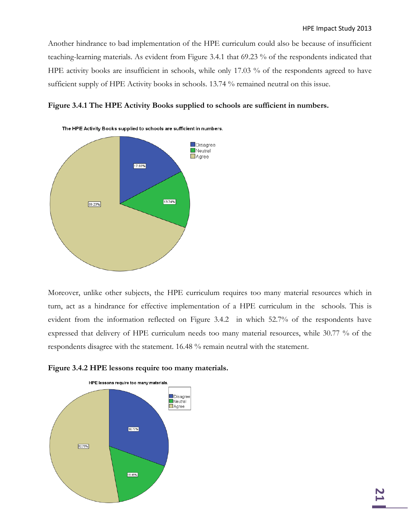Another hindrance to bad implementation of the HPE curriculum could also be because of insufficient teaching-learning materials. As evident from Figure 3.4.1 that 69.23 % of the respondents indicated that HPE activity books are insufficient in schools, while only 17.03 % of the respondents agreed to have sufficient supply of HPE Activity books in schools. 13.74 % remained neutral on this issue.





Moreover, unlike other subjects, the HPE curriculum requires too many material resources which in turn, act as a hindrance for effective implementation of a HPE curriculum in the schools. This is evident from the information reflected on Figure 3.4.2 in which 52.7% of the respondents have expressed that delivery of HPE curriculum needs too many material resources, while 30.77 % of the respondents disagree with the statement. 16.48 % remain neutral with the statement.



**Figure 3.4.2 HPE lessons require too many materials.**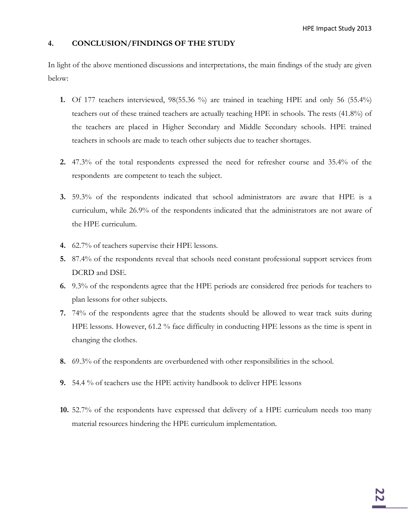#### **4. CONCLUSION/FINDINGS OF THE STUDY**

In light of the above mentioned discussions and interpretations, the main findings of the study are given below:

- **1.** Of 177 teachers interviewed, 98(55.36 %) are trained in teaching HPE and only 56 (55.4%) teachers out of these trained teachers are actually teaching HPE in schools. The rests (41.8%) of the teachers are placed in Higher Secondary and Middle Secondary schools. HPE trained teachers in schools are made to teach other subjects due to teacher shortages.
- **2.** 47.3% of the total respondents expressed the need for refresher course and 35.4% of the respondents are competent to teach the subject.
- **3.** 59.3% of the respondents indicated that school administrators are aware that HPE is a curriculum, while 26.9% of the respondents indicated that the administrators are not aware of the HPE curriculum.
- **4.** 62.7% of teachers supervise their HPE lessons.
- **5.** 87.4% of the respondents reveal that schools need constant professional support services from DCRD and DSE.
- **6.** 9.3% of the respondents agree that the HPE periods are considered free periods for teachers to plan lessons for other subjects.
- **7.** 74% of the respondents agree that the students should be allowed to wear track suits during HPE lessons. However, 61.2 % face difficulty in conducting HPE lessons as the time is spent in changing the clothes.
- **8.** 69.3% of the respondents are overburdened with other responsibilities in the school.
- **9.** 54.4 % of teachers use the HPE activity handbook to deliver HPE lessons
- **10.** 52.7% of the respondents have expressed that delivery of a HPE curriculum needs too many material resources hindering the HPE curriculum implementation.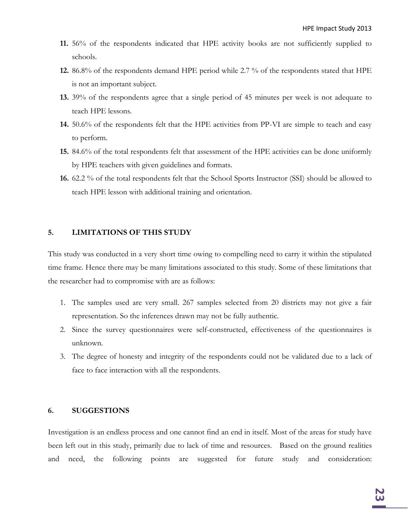- **11.** 56% of the respondents indicated that HPE activity books are not sufficiently supplied to schools.
- **12.** 86.8% of the respondents demand HPE period while 2.7 % of the respondents stated that HPE is not an important subject.
- **13.** 39% of the respondents agree that a single period of 45 minutes per week is not adequate to teach HPE lessons.
- **14.** 50.6% of the respondents felt that the HPE activities from PP-VI are simple to teach and easy to perform.
- **15.** 84.6% of the total respondents felt that assessment of the HPE activities can be done uniformly by HPE teachers with given guidelines and formats.
- **16.** 62.2 % of the total respondents felt that the School Sports Instructor (SSI) should be allowed to teach HPE lesson with additional training and orientation.

#### **5. LIMITATIONS OF THIS STUDY**

This study was conducted in a very short time owing to compelling need to carry it within the stipulated time frame. Hence there may be many limitations associated to this study. Some of these limitations that the researcher had to compromise with are as follows:

- 1. The samples used are very small. 267 samples selected from 20 districts may not give a fair representation. So the inferences drawn may not be fully authentic.
- 2. Since the survey questionnaires were self-constructed, effectiveness of the questionnaires is unknown.
- 3. The degree of honesty and integrity of the respondents could not be validated due to a lack of face to face interaction with all the respondents.

#### **6. SUGGESTIONS**

Investigation is an endless process and one cannot find an end in itself. Most of the areas for study have been left out in this study, primarily due to lack of time and resources. Based on the ground realities and need, the following points are suggested for future study and consideration: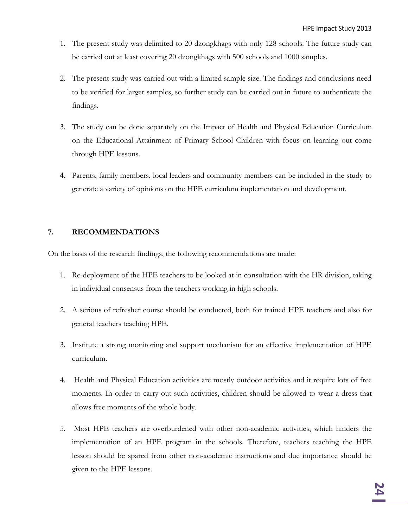- 1. The present study was delimited to 20 dzongkhags with only 128 schools. The future study can be carried out at least covering 20 dzongkhags with 500 schools and 1000 samples.
- 2. The present study was carried out with a limited sample size. The findings and conclusions need to be verified for larger samples, so further study can be carried out in future to authenticate the findings.
- 3. The study can be done separately on the Impact of Health and Physical Education Curriculum on the Educational Attainment of Primary School Children with focus on learning out come through HPE lessons.
- **4.** Parents, family members, local leaders and community members can be included in the study to generate a variety of opinions on the HPE curriculum implementation and development.

## **7. RECOMMENDATIONS**

On the basis of the research findings, the following recommendations are made:

- 1. Re-deployment of the HPE teachers to be looked at in consultation with the HR division, taking in individual consensus from the teachers working in high schools.
- 2. A serious of refresher course should be conducted, both for trained HPE teachers and also for general teachers teaching HPE.
- 3. Institute a strong monitoring and support mechanism for an effective implementation of HPE curriculum.
- 4. Health and Physical Education activities are mostly outdoor activities and it require lots of free moments. In order to carry out such activities, children should be allowed to wear a dress that allows free moments of the whole body.
- 5. Most HPE teachers are overburdened with other non-academic activities, which hinders the implementation of an HPE program in the schools. Therefore, teachers teaching the HPE lesson should be spared from other non-academic instructions and due importance should be given to the HPE lessons.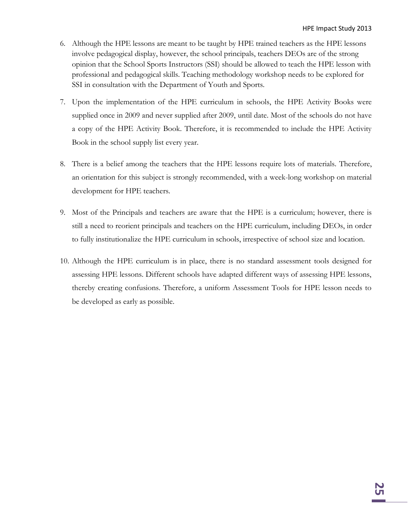- 6. Although the HPE lessons are meant to be taught by HPE trained teachers as the HPE lessons involve pedagogical display, however, the school principals, teachers DEOs are of the strong opinion that the School Sports Instructors (SSI) should be allowed to teach the HPE lesson with professional and pedagogical skills. Teaching methodology workshop needs to be explored for SSI in consultation with the Department of Youth and Sports.
- 7. Upon the implementation of the HPE curriculum in schools, the HPE Activity Books were supplied once in 2009 and never supplied after 2009, until date. Most of the schools do not have a copy of the HPE Activity Book. Therefore, it is recommended to include the HPE Activity Book in the school supply list every year.
- 8. There is a belief among the teachers that the HPE lessons require lots of materials. Therefore, an orientation for this subject is strongly recommended, with a week-long workshop on material development for HPE teachers.
- 9. Most of the Principals and teachers are aware that the HPE is a curriculum; however, there is still a need to reorient principals and teachers on the HPE curriculum, including DEOs, in order to fully institutionalize the HPE curriculum in schools, irrespective of school size and location.
- 10. Although the HPE curriculum is in place, there is no standard assessment tools designed for assessing HPE lessons. Different schools have adapted different ways of assessing HPE lessons, thereby creating confusions. Therefore, a uniform Assessment Tools for HPE lesson needs to be developed as early as possible.